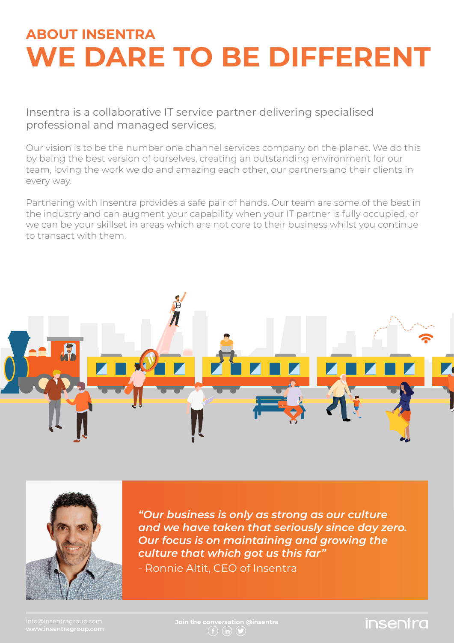# **ABOUT INSENTRA WE DARE TO BE DIFFERENT**

professional and managed services.

Our vision is to be the number one channel services company on the planet. We do this by being the best version of ourselves, creating an outstanding environment for our team, loving the work we do and amazing each other, our partners and their clients in every way.

Partnering with Insentra provides a safe pair of hands. Our team are some of the best in the industry and can augment your capability when your IT partner is fully occupied, or we can be your skillset in areas which are not core to their business whilst you continue to transact with them.





*"Our business is only as strong as our culture and we have taken that seriously since day zero. Our focus is on maintaining and growing the culture that which got us this far"*

- Ronnie Altit, CEO of Insentra

 $(f)$  (in)  $(f)$